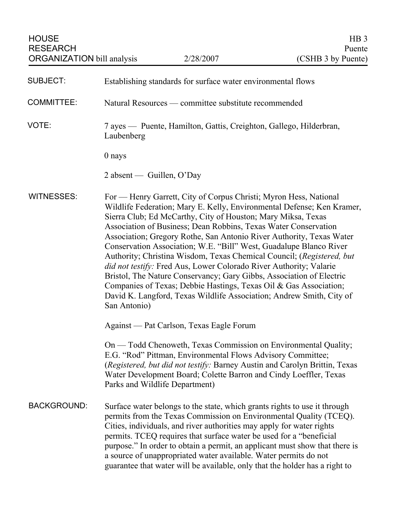| <b>HOUSE</b><br><b>RESEARCH</b><br><b>ORGANIZATION bill analysis</b> |                                                              | 2/28/2007                                                                                                                                                                                                                                                                                                                                                                                                                                                                                                                                                                                                                                                                                                              | HB <sub>3</sub><br>Puente<br>(CSHB 3 by Puente)                             |
|----------------------------------------------------------------------|--------------------------------------------------------------|------------------------------------------------------------------------------------------------------------------------------------------------------------------------------------------------------------------------------------------------------------------------------------------------------------------------------------------------------------------------------------------------------------------------------------------------------------------------------------------------------------------------------------------------------------------------------------------------------------------------------------------------------------------------------------------------------------------------|-----------------------------------------------------------------------------|
| <b>SUBJECT:</b>                                                      | Establishing standards for surface water environmental flows |                                                                                                                                                                                                                                                                                                                                                                                                                                                                                                                                                                                                                                                                                                                        |                                                                             |
| <b>COMMITTEE:</b>                                                    | Natural Resources — committee substitute recommended         |                                                                                                                                                                                                                                                                                                                                                                                                                                                                                                                                                                                                                                                                                                                        |                                                                             |
| VOTE:                                                                | Laubenberg                                                   | 7 ayes — Puente, Hamilton, Gattis, Creighton, Gallego, Hilderbran,                                                                                                                                                                                                                                                                                                                                                                                                                                                                                                                                                                                                                                                     |                                                                             |
|                                                                      | 0 nays                                                       |                                                                                                                                                                                                                                                                                                                                                                                                                                                                                                                                                                                                                                                                                                                        |                                                                             |
|                                                                      | $2$ absent — Guillen, O'Day                                  |                                                                                                                                                                                                                                                                                                                                                                                                                                                                                                                                                                                                                                                                                                                        |                                                                             |
| WITNESSES:                                                           | San Antonio)                                                 | For — Henry Garrett, City of Corpus Christi; Myron Hess, National<br>Sierra Club; Ed McCarthy, City of Houston; Mary Miksa, Texas<br>Association of Business; Dean Robbins, Texas Water Conservation<br>Association; Gregory Rothe, San Antonio River Authority, Texas Water<br>Conservation Association; W.E. "Bill" West, Guadalupe Blanco River<br>Authority; Christina Wisdom, Texas Chemical Council; (Registered, but<br>did not testify: Fred Aus, Lower Colorado River Authority; Valarie<br>Bristol, The Nature Conservancy; Gary Gibbs, Association of Electric<br>Companies of Texas; Debbie Hastings, Texas Oil & Gas Association;<br>David K. Langford, Texas Wildlife Association; Andrew Smith, City of | Wildlife Federation; Mary E. Kelly, Environmental Defense; Ken Kramer,      |
|                                                                      |                                                              | Against — Pat Carlson, Texas Eagle Forum                                                                                                                                                                                                                                                                                                                                                                                                                                                                                                                                                                                                                                                                               |                                                                             |
|                                                                      |                                                              | On — Todd Chenoweth, Texas Commission on Environmental Quality;<br>E.G. "Rod" Pittman, Environmental Flows Advisory Committee;<br>Water Development Board; Colette Barron and Cindy Loeffler, Texas<br>Parks and Wildlife Department)                                                                                                                                                                                                                                                                                                                                                                                                                                                                                  | (Registered, but did not testify: Barney Austin and Carolyn Brittin, Texas  |
| <b>BACKGROUND:</b>                                                   |                                                              | Surface water belongs to the state, which grants rights to use it through<br>permits from the Texas Commission on Environmental Quality (TCEQ).<br>Cities, individuals, and river authorities may apply for water rights<br>permits. TCEQ requires that surface water be used for a "beneficial<br>a source of unappropriated water available. Water permits do not<br>guarantee that water will be available, only that the holder has a right to                                                                                                                                                                                                                                                                     | purpose." In order to obtain a permit, an applicant must show that there is |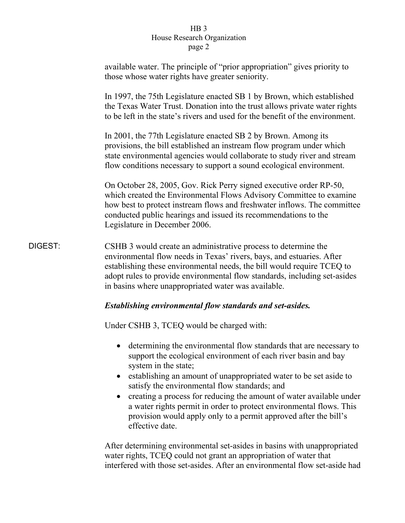|         | available water. The principle of "prior appropriation" gives priority to<br>those whose water rights have greater seniority.                                                                                                                                                                                                                         |
|---------|-------------------------------------------------------------------------------------------------------------------------------------------------------------------------------------------------------------------------------------------------------------------------------------------------------------------------------------------------------|
|         | In 1997, the 75th Legislature enacted SB 1 by Brown, which established<br>the Texas Water Trust. Donation into the trust allows private water rights<br>to be left in the state's rivers and used for the benefit of the environment.                                                                                                                 |
|         | In 2001, the 77th Legislature enacted SB 2 by Brown. Among its<br>provisions, the bill established an instream flow program under which<br>state environmental agencies would collaborate to study river and stream<br>flow conditions necessary to support a sound ecological environment.                                                           |
|         | On October 28, 2005, Gov. Rick Perry signed executive order RP-50,<br>which created the Environmental Flows Advisory Committee to examine<br>how best to protect instream flows and freshwater inflows. The committee<br>conducted public hearings and issued its recommendations to the<br>Legislature in December 2006.                             |
| DIGEST: | CSHB 3 would create an administrative process to determine the<br>environmental flow needs in Texas' rivers, bays, and estuaries. After<br>establishing these environmental needs, the bill would require TCEQ to<br>adopt rules to provide environmental flow standards, including set-asides<br>in basins where unappropriated water was available. |
|         | <b>Establishing environmental flow standards and set-asides.</b>                                                                                                                                                                                                                                                                                      |
|         | Under CSHB 3, TCEQ would be charged with:                                                                                                                                                                                                                                                                                                             |

- determining the environmental flow standards that are necessary to support the ecological environment of each river basin and bay system in the state;
- establishing an amount of unappropriated water to be set aside to satisfy the environmental flow standards; and
- creating a process for reducing the amount of water available under a water rights permit in order to protect environmental flows. This provision would apply only to a permit approved after the bill's effective date.

After determining environmental set-asides in basins with unappropriated water rights, TCEQ could not grant an appropriation of water that interfered with those set-asides. After an environmental flow set-aside had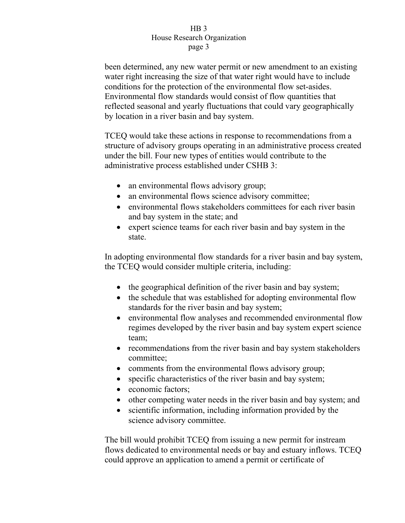been determined, any new water permit or new amendment to an existing water right increasing the size of that water right would have to include conditions for the protection of the environmental flow set-asides. Environmental flow standards would consist of flow quantities that reflected seasonal and yearly fluctuations that could vary geographically by location in a river basin and bay system.

TCEQ would take these actions in response to recommendations from a structure of advisory groups operating in an administrative process created under the bill. Four new types of entities would contribute to the administrative process established under CSHB 3:

- an environmental flows advisory group;
- an environmental flows science advisory committee;
- environmental flows stakeholders committees for each river basin and bay system in the state; and
- expert science teams for each river basin and bay system in the state.

In adopting environmental flow standards for a river basin and bay system, the TCEQ would consider multiple criteria, including:

- the geographical definition of the river basin and bay system;
- the schedule that was established for adopting environmental flow standards for the river basin and bay system;
- environmental flow analyses and recommended environmental flow regimes developed by the river basin and bay system expert science team;
- recommendations from the river basin and bay system stakeholders committee;
- comments from the environmental flows advisory group;
- specific characteristics of the river basin and bay system;
- economic factors:
- other competing water needs in the river basin and bay system; and
- scientific information, including information provided by the science advisory committee.

The bill would prohibit TCEQ from issuing a new permit for instream flows dedicated to environmental needs or bay and estuary inflows. TCEQ could approve an application to amend a permit or certificate of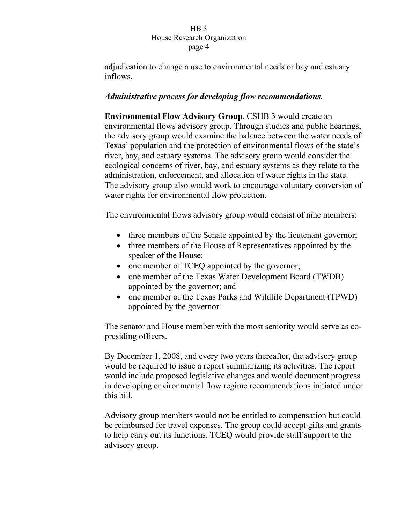adjudication to change a use to environmental needs or bay and estuary inflows.

# *Administrative process for developing flow recommendations.*

**Environmental Flow Advisory Group.** CSHB 3 would create an environmental flows advisory group. Through studies and public hearings, the advisory group would examine the balance between the water needs of Texas' population and the protection of environmental flows of the state's river, bay, and estuary systems. The advisory group would consider the ecological concerns of river, bay, and estuary systems as they relate to the administration, enforcement, and allocation of water rights in the state. The advisory group also would work to encourage voluntary conversion of water rights for environmental flow protection.

The environmental flows advisory group would consist of nine members:

- three members of the Senate appointed by the lieutenant governor;
- three members of the House of Representatives appointed by the speaker of the House;
- one member of TCEQ appointed by the governor;
- one member of the Texas Water Development Board (TWDB) appointed by the governor; and
- one member of the Texas Parks and Wildlife Department (TPWD) appointed by the governor.

The senator and House member with the most seniority would serve as copresiding officers.

By December 1, 2008, and every two years thereafter, the advisory group would be required to issue a report summarizing its activities. The report would include proposed legislative changes and would document progress in developing environmental flow regime recommendations initiated under this bill.

Advisory group members would not be entitled to compensation but could be reimbursed for travel expenses. The group could accept gifts and grants to help carry out its functions. TCEQ would provide staff support to the advisory group.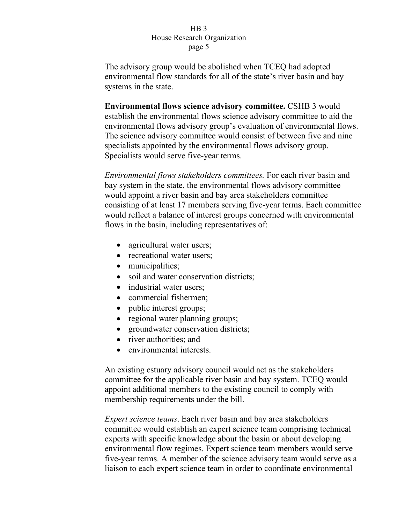The advisory group would be abolished when TCEQ had adopted environmental flow standards for all of the state's river basin and bay systems in the state.

**Environmental flows science advisory committee.** CSHB 3 would establish the environmental flows science advisory committee to aid the environmental flows advisory group's evaluation of environmental flows. The science advisory committee would consist of between five and nine specialists appointed by the environmental flows advisory group. Specialists would serve five-year terms.

*Environmental flows stakeholders committees.* For each river basin and bay system in the state, the environmental flows advisory committee would appoint a river basin and bay area stakeholders committee consisting of at least 17 members serving five-year terms. Each committee would reflect a balance of interest groups concerned with environmental flows in the basin, including representatives of:

- agricultural water users;
- recreational water users;
- municipalities;
- soil and water conservation districts;
- industrial water users;
- commercial fishermen;
- public interest groups;
- regional water planning groups;
- groundwater conservation districts;
- river authorities; and
- environmental interests.

An existing estuary advisory council would act as the stakeholders committee for the applicable river basin and bay system. TCEQ would appoint additional members to the existing council to comply with membership requirements under the bill.

*Expert science teams*. Each river basin and bay area stakeholders committee would establish an expert science team comprising technical experts with specific knowledge about the basin or about developing environmental flow regimes. Expert science team members would serve five-year terms. A member of the science advisory team would serve as a liaison to each expert science team in order to coordinate environmental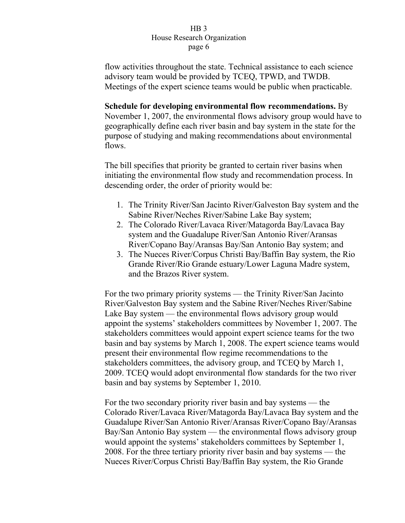flow activities throughout the state. Technical assistance to each science advisory team would be provided by TCEQ, TPWD, and TWDB. Meetings of the expert science teams would be public when practicable.

**Schedule for developing environmental flow recommendations.** By November 1, 2007, the environmental flows advisory group would have to geographically define each river basin and bay system in the state for the purpose of studying and making recommendations about environmental flows.

The bill specifies that priority be granted to certain river basins when initiating the environmental flow study and recommendation process. In descending order, the order of priority would be:

- 1. The Trinity River/San Jacinto River/Galveston Bay system and the Sabine River/Neches River/Sabine Lake Bay system;
- 2. The Colorado River/Lavaca River/Matagorda Bay/Lavaca Bay system and the Guadalupe River/San Antonio River/Aransas River/Copano Bay/Aransas Bay/San Antonio Bay system; and
- 3. The Nueces River/Corpus Christi Bay/Baffin Bay system, the Rio Grande River/Rio Grande estuary/Lower Laguna Madre system, and the Brazos River system.

For the two primary priority systems — the Trinity River/San Jacinto River/Galveston Bay system and the Sabine River/Neches River/Sabine Lake Bay system — the environmental flows advisory group would appoint the systems' stakeholders committees by November 1, 2007. The stakeholders committees would appoint expert science teams for the two basin and bay systems by March 1, 2008. The expert science teams would present their environmental flow regime recommendations to the stakeholders committees, the advisory group, and TCEQ by March 1, 2009. TCEQ would adopt environmental flow standards for the two river basin and bay systems by September 1, 2010.

For the two secondary priority river basin and bay systems — the Colorado River/Lavaca River/Matagorda Bay/Lavaca Bay system and the Guadalupe River/San Antonio River/Aransas River/Copano Bay/Aransas Bay/San Antonio Bay system — the environmental flows advisory group would appoint the systems' stakeholders committees by September 1, 2008. For the three tertiary priority river basin and bay systems — the Nueces River/Corpus Christi Bay/Baffin Bay system, the Rio Grande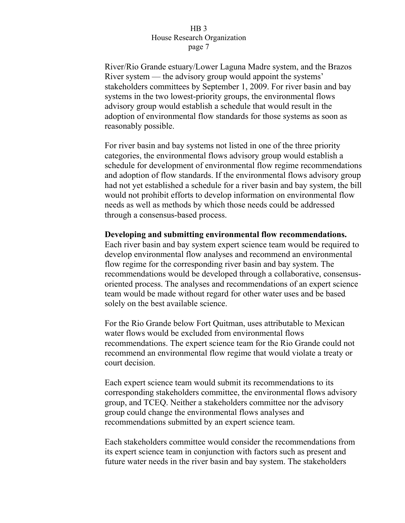River/Rio Grande estuary/Lower Laguna Madre system, and the Brazos River system — the advisory group would appoint the systems' stakeholders committees by September 1, 2009. For river basin and bay systems in the two lowest-priority groups, the environmental flows advisory group would establish a schedule that would result in the adoption of environmental flow standards for those systems as soon as reasonably possible.

For river basin and bay systems not listed in one of the three priority categories, the environmental flows advisory group would establish a schedule for development of environmental flow regime recommendations and adoption of flow standards. If the environmental flows advisory group had not yet established a schedule for a river basin and bay system, the bill would not prohibit efforts to develop information on environmental flow needs as well as methods by which those needs could be addressed through a consensus-based process.

**Developing and submitting environmental flow recommendations.** Each river basin and bay system expert science team would be required to develop environmental flow analyses and recommend an environmental flow regime for the corresponding river basin and bay system. The recommendations would be developed through a collaborative, consensusoriented process. The analyses and recommendations of an expert science team would be made without regard for other water uses and be based solely on the best available science.

For the Rio Grande below Fort Quitman, uses attributable to Mexican water flows would be excluded from environmental flows recommendations. The expert science team for the Rio Grande could not recommend an environmental flow regime that would violate a treaty or court decision.

Each expert science team would submit its recommendations to its corresponding stakeholders committee, the environmental flows advisory group, and TCEQ. Neither a stakeholders committee nor the advisory group could change the environmental flows analyses and recommendations submitted by an expert science team.

Each stakeholders committee would consider the recommendations from its expert science team in conjunction with factors such as present and future water needs in the river basin and bay system. The stakeholders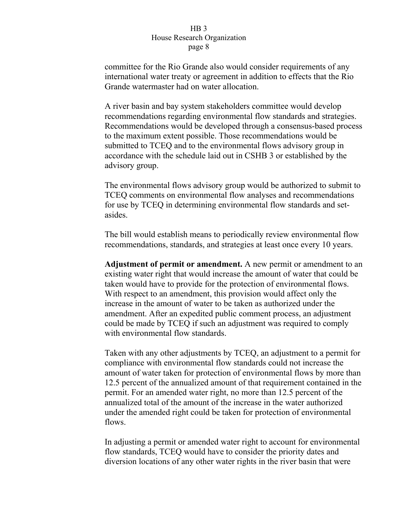committee for the Rio Grande also would consider requirements of any international water treaty or agreement in addition to effects that the Rio Grande watermaster had on water allocation.

A river basin and bay system stakeholders committee would develop recommendations regarding environmental flow standards and strategies. Recommendations would be developed through a consensus-based process to the maximum extent possible. Those recommendations would be submitted to TCEQ and to the environmental flows advisory group in accordance with the schedule laid out in CSHB 3 or established by the advisory group.

The environmental flows advisory group would be authorized to submit to TCEQ comments on environmental flow analyses and recommendations for use by TCEQ in determining environmental flow standards and setasides.

The bill would establish means to periodically review environmental flow recommendations, standards, and strategies at least once every 10 years.

**Adjustment of permit or amendment.** A new permit or amendment to an existing water right that would increase the amount of water that could be taken would have to provide for the protection of environmental flows. With respect to an amendment, this provision would affect only the increase in the amount of water to be taken as authorized under the amendment. After an expedited public comment process, an adjustment could be made by TCEQ if such an adjustment was required to comply with environmental flow standards.

Taken with any other adjustments by TCEQ, an adjustment to a permit for compliance with environmental flow standards could not increase the amount of water taken for protection of environmental flows by more than 12.5 percent of the annualized amount of that requirement contained in the permit. For an amended water right, no more than 12.5 percent of the annualized total of the amount of the increase in the water authorized under the amended right could be taken for protection of environmental flows.

In adjusting a permit or amended water right to account for environmental flow standards, TCEQ would have to consider the priority dates and diversion locations of any other water rights in the river basin that were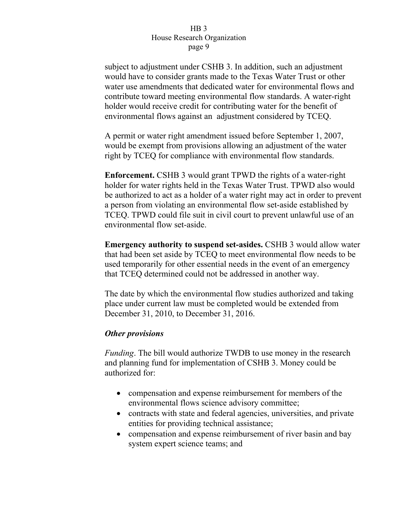subject to adjustment under CSHB 3. In addition, such an adjustment would have to consider grants made to the Texas Water Trust or other water use amendments that dedicated water for environmental flows and contribute toward meeting environmental flow standards. A water-right holder would receive credit for contributing water for the benefit of environmental flows against an adjustment considered by TCEQ.

A permit or water right amendment issued before September 1, 2007, would be exempt from provisions allowing an adjustment of the water right by TCEQ for compliance with environmental flow standards.

**Enforcement.** CSHB 3 would grant TPWD the rights of a water-right holder for water rights held in the Texas Water Trust. TPWD also would be authorized to act as a holder of a water right may act in order to prevent a person from violating an environmental flow set-aside established by TCEQ. TPWD could file suit in civil court to prevent unlawful use of an environmental flow set-aside.

**Emergency authority to suspend set-asides.** CSHB 3 would allow water that had been set aside by TCEQ to meet environmental flow needs to be used temporarily for other essential needs in the event of an emergency that TCEQ determined could not be addressed in another way.

The date by which the environmental flow studies authorized and taking place under current law must be completed would be extended from December 31, 2010, to December 31, 2016.

## *Other provisions*

*Funding*. The bill would authorize TWDB to use money in the research and planning fund for implementation of CSHB 3. Money could be authorized for:

- compensation and expense reimbursement for members of the environmental flows science advisory committee;
- contracts with state and federal agencies, universities, and private entities for providing technical assistance;
- compensation and expense reimbursement of river basin and bay system expert science teams; and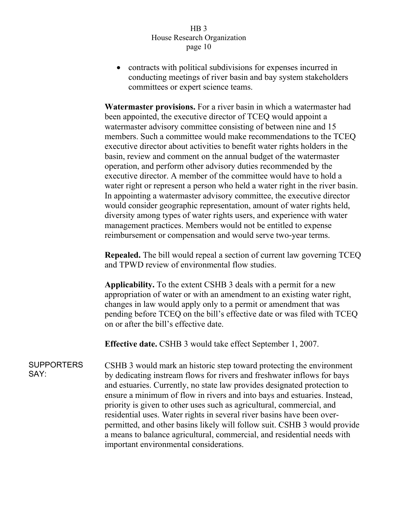• contracts with political subdivisions for expenses incurred in conducting meetings of river basin and bay system stakeholders committees or expert science teams.

**Watermaster provisions.** For a river basin in which a watermaster had been appointed, the executive director of TCEQ would appoint a watermaster advisory committee consisting of between nine and 15 members. Such a committee would make recommendations to the TCEQ executive director about activities to benefit water rights holders in the basin, review and comment on the annual budget of the watermaster operation, and perform other advisory duties recommended by the executive director. A member of the committee would have to hold a water right or represent a person who held a water right in the river basin. In appointing a watermaster advisory committee, the executive director would consider geographic representation, amount of water rights held, diversity among types of water rights users, and experience with water management practices. Members would not be entitled to expense reimbursement or compensation and would serve two-year terms.

**Repealed.** The bill would repeal a section of current law governing TCEQ and TPWD review of environmental flow studies.

**Applicability.** To the extent CSHB 3 deals with a permit for a new appropriation of water or with an amendment to an existing water right, changes in law would apply only to a permit or amendment that was pending before TCEQ on the bill's effective date or was filed with TCEQ on or after the bill's effective date.

**Effective date.** CSHB 3 would take effect September 1, 2007.

**SUPPORTERS** SAY: CSHB 3 would mark an historic step toward protecting the environment by dedicating instream flows for rivers and freshwater inflows for bays and estuaries. Currently, no state law provides designated protection to ensure a minimum of flow in rivers and into bays and estuaries. Instead, priority is given to other uses such as agricultural, commercial, and residential uses. Water rights in several river basins have been overpermitted, and other basins likely will follow suit. CSHB 3 would provide a means to balance agricultural, commercial, and residential needs with important environmental considerations.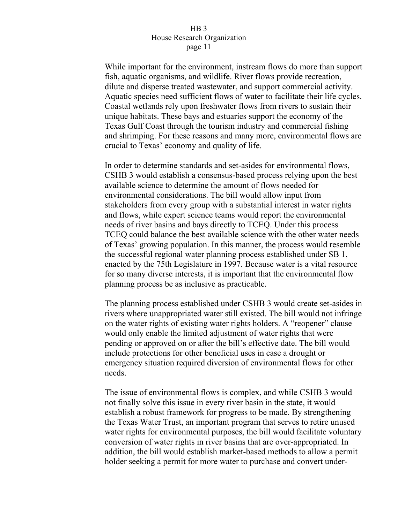While important for the environment, instream flows do more than support fish, aquatic organisms, and wildlife. River flows provide recreation, dilute and disperse treated wastewater, and support commercial activity. Aquatic species need sufficient flows of water to facilitate their life cycles. Coastal wetlands rely upon freshwater flows from rivers to sustain their unique habitats. These bays and estuaries support the economy of the Texas Gulf Coast through the tourism industry and commercial fishing and shrimping. For these reasons and many more, environmental flows are crucial to Texas' economy and quality of life.

In order to determine standards and set-asides for environmental flows, CSHB 3 would establish a consensus-based process relying upon the best available science to determine the amount of flows needed for environmental considerations. The bill would allow input from stakeholders from every group with a substantial interest in water rights and flows, while expert science teams would report the environmental needs of river basins and bays directly to TCEQ. Under this process TCEQ could balance the best available science with the other water needs of Texas' growing population. In this manner, the process would resemble the successful regional water planning process established under SB 1, enacted by the 75th Legislature in 1997. Because water is a vital resource for so many diverse interests, it is important that the environmental flow planning process be as inclusive as practicable.

The planning process established under CSHB 3 would create set-asides in rivers where unappropriated water still existed. The bill would not infringe on the water rights of existing water rights holders. A "reopener" clause would only enable the limited adjustment of water rights that were pending or approved on or after the bill's effective date. The bill would include protections for other beneficial uses in case a drought or emergency situation required diversion of environmental flows for other needs.

The issue of environmental flows is complex, and while CSHB 3 would not finally solve this issue in every river basin in the state, it would establish a robust framework for progress to be made. By strengthening the Texas Water Trust, an important program that serves to retire unused water rights for environmental purposes, the bill would facilitate voluntary conversion of water rights in river basins that are over-appropriated. In addition, the bill would establish market-based methods to allow a permit holder seeking a permit for more water to purchase and convert under-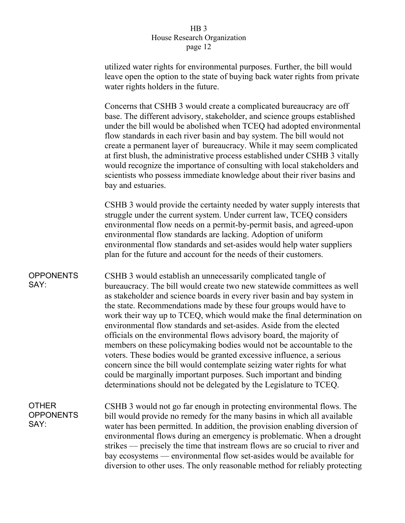utilized water rights for environmental purposes. Further, the bill would leave open the option to the state of buying back water rights from private water rights holders in the future.

Concerns that CSHB 3 would create a complicated bureaucracy are off base. The different advisory, stakeholder, and science groups established under the bill would be abolished when TCEQ had adopted environmental flow standards in each river basin and bay system. The bill would not create a permanent layer of bureaucracy. While it may seem complicated at first blush, the administrative process established under CSHB 3 vitally would recognize the importance of consulting with local stakeholders and scientists who possess immediate knowledge about their river basins and bay and estuaries.

CSHB 3 would provide the certainty needed by water supply interests that struggle under the current system. Under current law, TCEQ considers environmental flow needs on a permit-by-permit basis, and agreed-upon environmental flow standards are lacking. Adoption of uniform environmental flow standards and set-asides would help water suppliers plan for the future and account for the needs of their customers.

**OPPONENTS** SAY: CSHB 3 would establish an unnecessarily complicated tangle of bureaucracy. The bill would create two new statewide committees as well as stakeholder and science boards in every river basin and bay system in the state. Recommendations made by these four groups would have to work their way up to TCEQ, which would make the final determination on environmental flow standards and set-asides. Aside from the elected officials on the environmental flows advisory board, the majority of members on these policymaking bodies would not be accountable to the voters. These bodies would be granted excessive influence, a serious concern since the bill would contemplate seizing water rights for what could be marginally important purposes. Such important and binding determinations should not be delegated by the Legislature to TCEQ.

OTHER **OPPONENTS** SAY: CSHB 3 would not go far enough in protecting environmental flows. The bill would provide no remedy for the many basins in which all available water has been permitted. In addition, the provision enabling diversion of environmental flows during an emergency is problematic. When a drought strikes — precisely the time that instream flows are so crucial to river and bay ecosystems — environmental flow set-asides would be available for diversion to other uses. The only reasonable method for reliably protecting